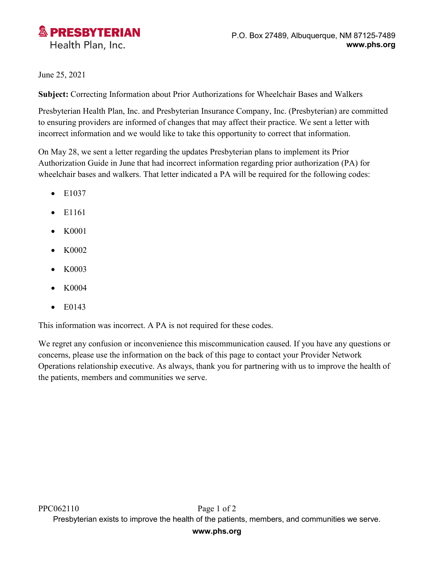

## June 25, 2021

**Subject:** Correcting Information about Prior Authorizations for Wheelchair Bases and Walkers

Presbyterian Health Plan, Inc. and Presbyterian Insurance Company, Inc. (Presbyterian) are committed to ensuring providers are informed of changes that may affect their practice. We sent a letter with incorrect information and we would like to take this opportunity to correct that information.

On May 28, we sent a letter regarding the updates Presbyterian plans to implement its Prior Authorization Guide in June that had incorrect information regarding prior authorization (PA) for wheelchair bases and walkers. That letter indicated a PA will be required for the following codes:

- $\bullet$  E1037
- $\bullet$  E1161
- K0001
- K0002
- K0003
- K0004
- E0143

This information was incorrect. A PA is not required for these codes.

We regret any confusion or inconvenience this miscommunication caused. If you have any questions or concerns, please use the information on the back of this page to contact your Provider Network Operations relationship executive. As always, thank you for partnering with us to improve the health of the patients, members and communities we serve.

## **www.phs.org**